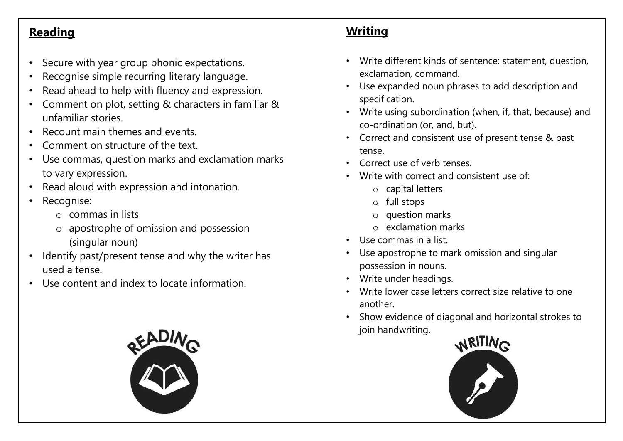## **Reading**

- Secure with year group phonic expectations.
- Recognise simple recurring literary language.
- Read ahead to help with fluency and expression.
- Comment on plot, setting & characters in familiar & unfamiliar stories.
- Recount main themes and events.
- Comment on structure of the text.
- Use commas, question marks and exclamation marks to vary expression.
- Read aloud with expression and intonation.
- Recognise:
	- o commas in lists
	- o apostrophe of omission and possession (singular noun)
- Identify past/present tense and why the writer has used a tense.
- Use content and index to locate information.



## **Writing**

- Write different kinds of sentence: statement, question, exclamation, command.
- Use expanded noun phrases to add description and specification.
- Write using subordination (when, if, that, because) and co-ordination (or, and, but).
- Correct and consistent use of present tense & past tense.
- Correct use of verb tenses.
- Write with correct and consistent use of:
	- o capital letters
	- o full stops
	- o question marks
	- o exclamation marks
- Use commas in a list.
- Use apostrophe to mark omission and singular possession in nouns.
- Write under headings.
- Write lower case letters correct size relative to one another.
- Show evidence of diagonal and horizontal strokes to join handwriting.